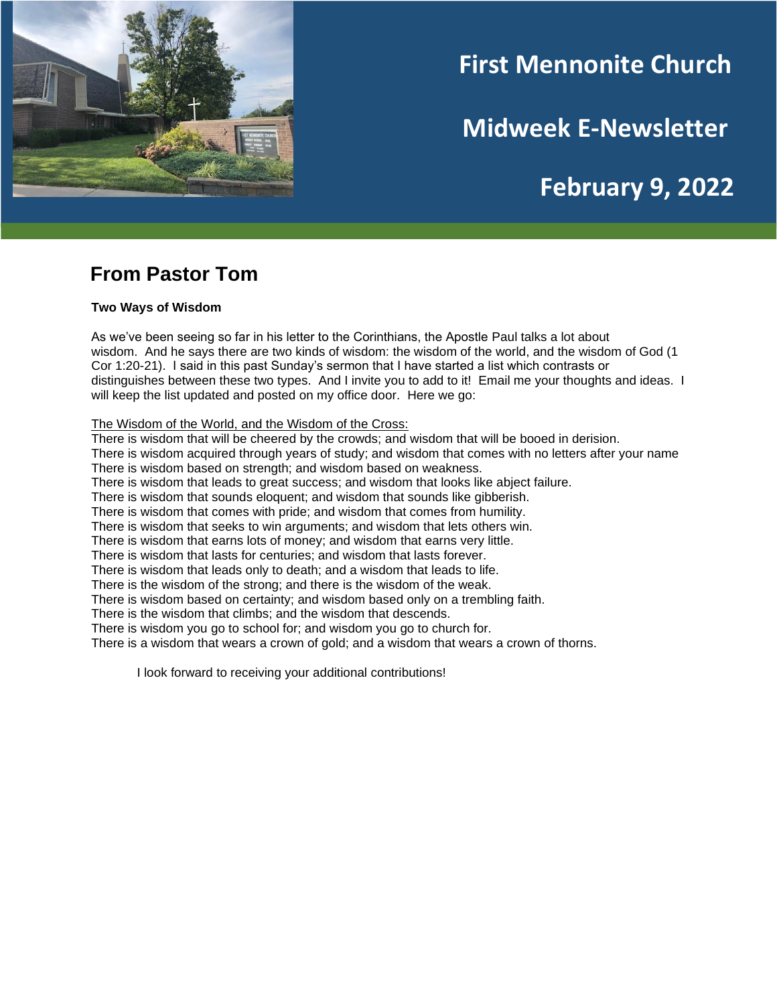

# **First Mennonite Church**

**Midweek E-Newsletter**

# **February 9, 2022**

## **From Pastor Tom**

#### **Two Ways of Wisdom**

As we've been seeing so far in his letter to the Corinthians, the Apostle Paul talks a lot about wisdom. And he says there are two kinds of wisdom: the wisdom of the world, and the wisdom of God (1 Cor 1:20-21). I said in this past Sunday's sermon that I have started a list which contrasts or distinguishes between these two types. And I invite you to add to it! Email me your thoughts and ideas. I will keep the list updated and posted on my office door. Here we go:

The Wisdom of the World, and the Wisdom of the Cross:

There is wisdom that will be cheered by the crowds; and wisdom that will be booed in derision.

There is wisdom acquired through years of study; and wisdom that comes with no letters after your name There is wisdom based on strength; and wisdom based on weakness.

There is wisdom that leads to great success; and wisdom that looks like abject failure.

There is wisdom that sounds eloquent; and wisdom that sounds like gibberish.

There is wisdom that comes with pride; and wisdom that comes from humility.

There is wisdom that seeks to win arguments; and wisdom that lets others win.

There is wisdom that earns lots of money; and wisdom that earns very little.

There is wisdom that lasts for centuries; and wisdom that lasts forever.

There is wisdom that leads only to death; and a wisdom that leads to life.

There is the wisdom of the strong; and there is the wisdom of the weak.

There is wisdom based on certainty; and wisdom based only on a trembling faith.

There is the wisdom that climbs; and the wisdom that descends.

There is wisdom you go to school for; and wisdom you go to church for.

There is a wisdom that wears a crown of gold; and a wisdom that wears a crown of thorns.

I look forward to receiving your additional contributions!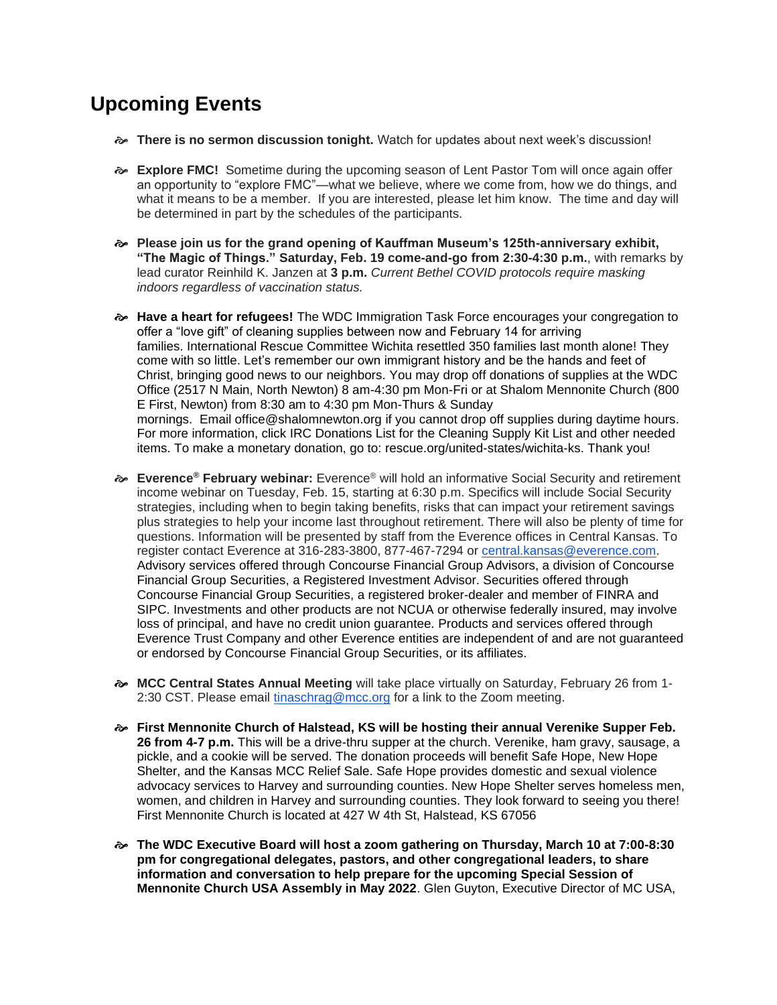## **Upcoming Events**

- **There is no sermon discussion tonight.** Watch for updates about next week's discussion!
- **Explore FMC!** Sometime during the upcoming season of Lent Pastor Tom will once again offer an opportunity to "explore FMC"—what we believe, where we come from, how we do things, and what it means to be a member. If you are interested, please let him know. The time and day will be determined in part by the schedules of the participants.
- **Please join us for the grand opening of Kauffman Museum's 125th-anniversary exhibit, "The Magic of Things." Saturday, Feb. 19 come-and-go from 2:30-4:30 p.m.**, with remarks by lead curator Reinhild K. Janzen at **3 p.m.** *Current Bethel COVID protocols require masking indoors regardless of vaccination status.*
- **Have a heart for refugees!** The WDC Immigration Task Force encourages your congregation to offer a "love gift" of cleaning supplies between now and February 14 for arriving families. International Rescue Committee Wichita resettled 350 families last month alone! They come with so little. Let's remember our own immigrant history and be the hands and feet of Christ, bringing good news to our neighbors. You may drop off donations of supplies at the WDC Office (2517 N Main, North Newton) 8 am-4:30 pm Mon-Fri or at Shalom Mennonite Church (800 E First, Newton) from 8:30 am to 4:30 pm Mon-Thurs & Sunday mornings. Email office@shalomnewton.org if you cannot drop off supplies during daytime hours. For more information, click IRC Donations List for the Cleaning Supply Kit List and other needed items. To make a monetary donation, go to: rescue.org/united-states/wichita-ks. Thank you!
- **Everence® February webinar:** Everence® will hold an informative Social Security and retirement income webinar on Tuesday, Feb. 15, starting at 6:30 p.m. Specifics will include Social Security strategies, including when to begin taking benefits, risks that can impact your retirement savings plus strategies to help your income last throughout retirement. There will also be plenty of time for questions. Information will be presented by staff from the Everence offices in Central Kansas. To register contact Everence at 316-283-3800, 877-467-7294 or [central.kansas@everence.com.](mailto:central.kansas@everence.com) Advisory services offered through Concourse Financial Group Advisors, a division of Concourse Financial Group Securities, a Registered Investment Advisor. Securities offered through Concourse Financial Group Securities, a registered broker-dealer and member of FINRA and SIPC. Investments and other products are not NCUA or otherwise federally insured, may involve loss of principal, and have no credit union guarantee. Products and services offered through Everence Trust Company and other Everence entities are independent of and are not guaranteed or endorsed by Concourse Financial Group Securities, or its affiliates.
- **MCC Central States Annual Meeting** will take place virtually on Saturday, February 26 from 1 2:30 CST. Please email [tinaschrag@mcc.org](mailto:tinaschrag@mcc.org) for a link to the Zoom meeting.
- **First Mennonite Church of Halstead, KS will be hosting their annual Verenike Supper Feb. 26 from 4-7 p.m.** This will be a drive-thru supper at the church. Verenike, ham gravy, sausage, a pickle, and a cookie will be served. The donation proceeds will benefit Safe Hope, New Hope Shelter, and the Kansas MCC Relief Sale. Safe Hope provides domestic and sexual violence advocacy services to Harvey and surrounding counties. New Hope Shelter serves homeless men, women, and children in Harvey and surrounding counties. They look forward to seeing you there! First Mennonite Church is located at 427 W 4th St, Halstead, KS 67056
- **The WDC Executive Board will host a zoom gathering on Thursday, March 10 at 7:00-8:30 pm for congregational delegates, pastors, and other congregational leaders, to share information and conversation to help prepare for the upcoming Special Session of Mennonite Church USA Assembly in May 2022**. Glen Guyton, Executive Director of MC USA,